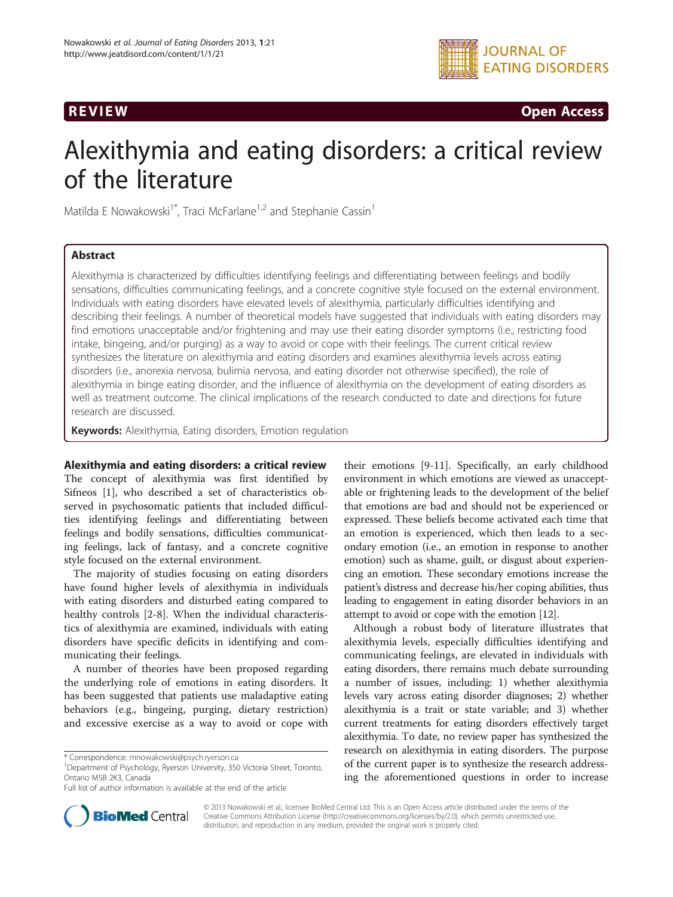

**REVIEW CONSIDERING CONSIDERING CONSIDERING CONSIDERING CONSIDERING CONSIDERING CONSIDERING CONSIDERING CONSIDERING CONSIDERING CONSIDERING CONSIDERING CONSIDERING CONSIDERING CONSIDERING CONSIDERING CONSIDERING CONSIDER** 

# Alexithymia and eating disorders: a critical review of the literature

Matilda E Nowakowski<sup>1\*</sup>, Traci McFarlane<sup>1,2</sup> and Stephanie Cassin<sup>1</sup>

# Abstract

Alexithymia is characterized by difficulties identifying feelings and differentiating between feelings and bodily sensations, difficulties communicating feelings, and a concrete cognitive style focused on the external environment. Individuals with eating disorders have elevated levels of alexithymia, particularly difficulties identifying and describing their feelings. A number of theoretical models have suggested that individuals with eating disorders may find emotions unacceptable and/or frightening and may use their eating disorder symptoms (i.e., restricting food intake, bingeing, and/or purging) as a way to avoid or cope with their feelings. The current critical review synthesizes the literature on alexithymia and eating disorders and examines alexithymia levels across eating disorders (i.e., anorexia nervosa, bulimia nervosa, and eating disorder not otherwise specified), the role of alexithymia in binge eating disorder, and the influence of alexithymia on the development of eating disorders as well as treatment outcome. The clinical implications of the research conducted to date and directions for future research are discussed.

Keywords: Alexithymia, Eating disorders, Emotion regulation

#### Alexithymia and eating disorders: a critical review

The concept of alexithymia was first identified by Sifneos [[1\]](#page-11-0), who described a set of characteristics observed in psychosomatic patients that included difficulties identifying feelings and differentiating between feelings and bodily sensations, difficulties communicating feelings, lack of fantasy, and a concrete cognitive style focused on the external environment.

The majority of studies focusing on eating disorders have found higher levels of alexithymia in individuals with eating disorders and disturbed eating compared to healthy controls [\[2](#page-11-0)-[8\]](#page-11-0). When the individual characteristics of alexithymia are examined, individuals with eating disorders have specific deficits in identifying and communicating their feelings.

A number of theories have been proposed regarding the underlying role of emotions in eating disorders. It has been suggested that patients use maladaptive eating behaviors (e.g., bingeing, purging, dietary restriction) and excessive exercise as a way to avoid or cope with their emotions [[9-11\]](#page-11-0). Specifically, an early childhood environment in which emotions are viewed as unacceptable or frightening leads to the development of the belief that emotions are bad and should not be experienced or expressed. These beliefs become activated each time that an emotion is experienced, which then leads to a secondary emotion (i.e., an emotion in response to another emotion) such as shame, guilt, or disgust about experiencing an emotion. These secondary emotions increase the patient's distress and decrease his/her coping abilities, thus leading to engagement in eating disorder behaviors in an attempt to avoid or cope with the emotion [\[12\]](#page-11-0).

Although a robust body of literature illustrates that alexithymia levels, especially difficulties identifying and communicating feelings, are elevated in individuals with eating disorders, there remains much debate surrounding a number of issues, including: 1) whether alexithymia levels vary across eating disorder diagnoses; 2) whether alexithymia is a trait or state variable; and 3) whether current treatments for eating disorders effectively target alexithymia. To date, no review paper has synthesized the research on alexithymia in eating disorders. The purpose of the current paper is to synthesize the research addressing the aforementioned questions in order to increase



© 2013 Nowakowski et al.; licensee BioMed Central Ltd. This is an Open Access article distributed under the terms of the Creative Commons Attribution License (<http://creativecommons.org/licenses/by/2.0>), which permits unrestricted use, distribution, and reproduction in any medium, provided the original work is properly cited.

<sup>\*</sup> Correspondence: [mnowakowski@psych.ryerson.ca](mailto:mnowakowski@psych.ryerson.ca) <sup>1</sup>

<sup>&</sup>lt;sup>1</sup>Department of Psychology, Ryerson University, 350 Victoria Street, Toronto, Ontario M5B 2K3, Canada

Full list of author information is available at the end of the article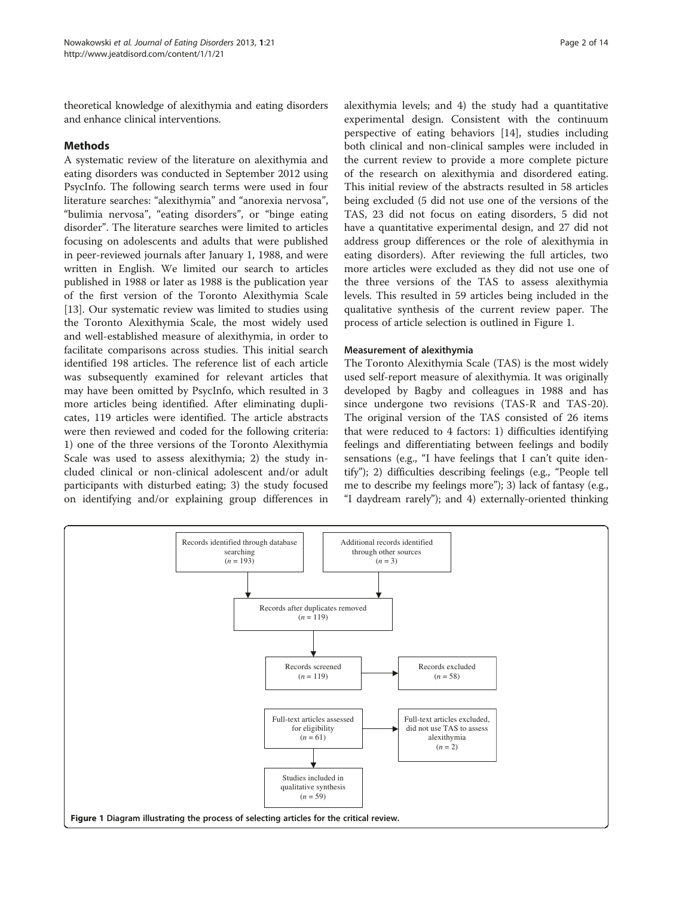theoretical knowledge of alexithymia and eating disorders and enhance clinical interventions.

# Methods

A systematic review of the literature on alexithymia and eating disorders was conducted in September 2012 using PsycInfo. The following search terms were used in four literature searches: "alexithymia" and "anorexia nervosa", "bulimia nervosa", "eating disorders", or "binge eating disorder". The literature searches were limited to articles focusing on adolescents and adults that were published in peer-reviewed journals after January 1, 1988, and were written in English. We limited our search to articles published in 1988 or later as 1988 is the publication year of the first version of the Toronto Alexithymia Scale [[13\]](#page-11-0). Our systematic review was limited to studies using the Toronto Alexithymia Scale, the most widely used and well-established measure of alexithymia, in order to facilitate comparisons across studies. This initial search identified 198 articles. The reference list of each article was subsequently examined for relevant articles that may have been omitted by PsycInfo, which resulted in 3 more articles being identified. After eliminating duplicates, 119 articles were identified. The article abstracts were then reviewed and coded for the following criteria: 1) one of the three versions of the Toronto Alexithymia Scale was used to assess alexithymia; 2) the study included clinical or non-clinical adolescent and/or adult participants with disturbed eating; 3) the study focused on identifying and/or explaining group differences in

alexithymia levels; and 4) the study had a quantitative experimental design. Consistent with the continuum perspective of eating behaviors [\[14](#page-11-0)], studies including both clinical and non-clinical samples were included in the current review to provide a more complete picture of the research on alexithymia and disordered eating. This initial review of the abstracts resulted in 58 articles being excluded (5 did not use one of the versions of the TAS, 23 did not focus on eating disorders, 5 did not have a quantitative experimental design, and 27 did not address group differences or the role of alexithymia in eating disorders). After reviewing the full articles, two more articles were excluded as they did not use one of the three versions of the TAS to assess alexithymia levels. This resulted in 59 articles being included in the qualitative synthesis of the current review paper. The process of article selection is outlined in Figure 1.

#### Measurement of alexithymia

The Toronto Alexithymia Scale (TAS) is the most widely used self-report measure of alexithymia. It was originally developed by Bagby and colleagues in 1988 and has since undergone two revisions (TAS-R and TAS-20). The original version of the TAS consisted of 26 items that were reduced to 4 factors: 1) difficulties identifying feelings and differentiating between feelings and bodily sensations (e.g., "I have feelings that I can't quite identify"); 2) difficulties describing feelings (e.g., "People tell me to describe my feelings more"); 3) lack of fantasy (e.g., "I daydream rarely"); and 4) externally-oriented thinking

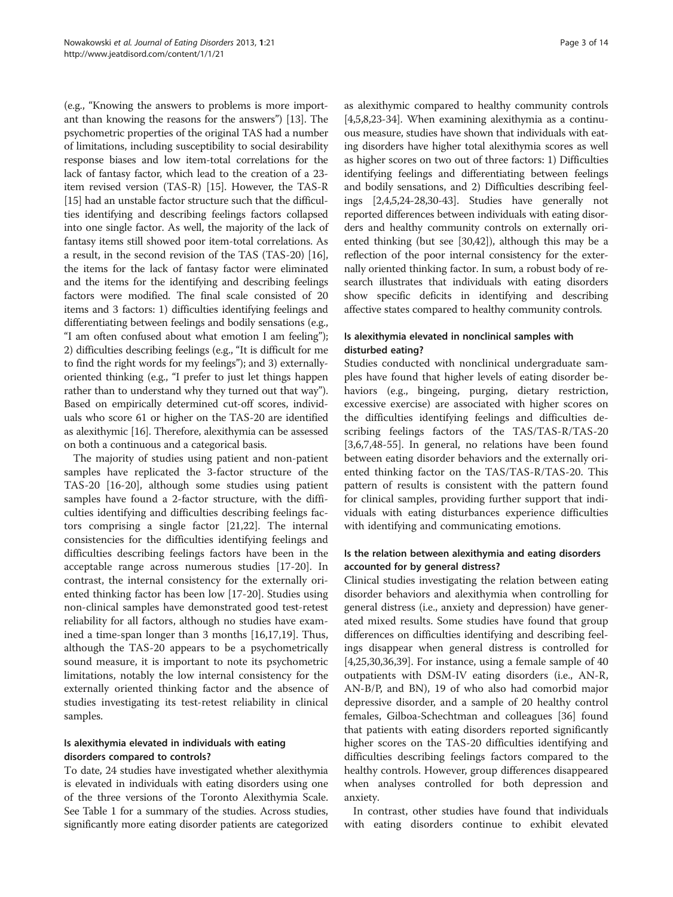(e.g., "Knowing the answers to problems is more important than knowing the reasons for the answers") [\[13](#page-11-0)]. The psychometric properties of the original TAS had a number of limitations, including susceptibility to social desirability response biases and low item-total correlations for the lack of fantasy factor, which lead to the creation of a 23 item revised version (TAS-R) [[15](#page-11-0)]. However, the TAS-R [[15](#page-11-0)] had an unstable factor structure such that the difficulties identifying and describing feelings factors collapsed into one single factor. As well, the majority of the lack of fantasy items still showed poor item-total correlations. As a result, in the second revision of the TAS (TAS-20) [[16](#page-11-0)], the items for the lack of fantasy factor were eliminated and the items for the identifying and describing feelings factors were modified. The final scale consisted of 20 items and 3 factors: 1) difficulties identifying feelings and differentiating between feelings and bodily sensations (e.g., "I am often confused about what emotion I am feeling"); 2) difficulties describing feelings (e.g., "It is difficult for me to find the right words for my feelings"); and 3) externallyoriented thinking (e.g., "I prefer to just let things happen rather than to understand why they turned out that way"). Based on empirically determined cut-off scores, individuals who score 61 or higher on the TAS-20 are identified as alexithymic [[16\]](#page-11-0). Therefore, alexithymia can be assessed on both a continuous and a categorical basis.

The majority of studies using patient and non-patient samples have replicated the 3-factor structure of the TAS-20 [\[16](#page-11-0)-[20\]](#page-12-0), although some studies using patient samples have found a 2-factor structure, with the difficulties identifying and difficulties describing feelings factors comprising a single factor [\[21,22](#page-12-0)]. The internal consistencies for the difficulties identifying feelings and difficulties describing feelings factors have been in the acceptable range across numerous studies [[17](#page-11-0)[-20\]](#page-12-0). In contrast, the internal consistency for the externally oriented thinking factor has been low [[17](#page-11-0)[-20](#page-12-0)]. Studies using non-clinical samples have demonstrated good test-retest reliability for all factors, although no studies have examined a time-span longer than 3 months [\[16,17,19\]](#page-11-0). Thus, although the TAS-20 appears to be a psychometrically sound measure, it is important to note its psychometric limitations, notably the low internal consistency for the externally oriented thinking factor and the absence of studies investigating its test-retest reliability in clinical samples.

#### Is alexithymia elevated in individuals with eating disorders compared to controls?

To date, 24 studies have investigated whether alexithymia is elevated in individuals with eating disorders using one of the three versions of the Toronto Alexithymia Scale. See Table [1](#page-3-0) for a summary of the studies. Across studies, significantly more eating disorder patients are categorized as alexithymic compared to healthy community controls [[4,5,8](#page-11-0)[,23](#page-12-0)-[34](#page-12-0)]. When examining alexithymia as a continuous measure, studies have shown that individuals with eating disorders have higher total alexithymia scores as well as higher scores on two out of three factors: 1) Difficulties identifying feelings and differentiating between feelings and bodily sensations, and 2) Difficulties describing feelings [[2,4,5](#page-11-0),[24](#page-12-0)-[28,30](#page-12-0)-[43](#page-12-0)]. Studies have generally not reported differences between individuals with eating disorders and healthy community controls on externally oriented thinking (but see [[30,42\]](#page-12-0)), although this may be a reflection of the poor internal consistency for the externally oriented thinking factor. In sum, a robust body of research illustrates that individuals with eating disorders show specific deficits in identifying and describing affective states compared to healthy community controls.

# Is alexithymia elevated in nonclinical samples with disturbed eating?

Studies conducted with nonclinical undergraduate samples have found that higher levels of eating disorder behaviors (e.g., bingeing, purging, dietary restriction, excessive exercise) are associated with higher scores on the difficulties identifying feelings and difficulties describing feelings factors of the TAS/TAS-R/TAS-20 [[3,6,7,](#page-11-0)[48-55](#page-12-0)]. In general, no relations have been found between eating disorder behaviors and the externally oriented thinking factor on the TAS/TAS-R/TAS-20. This pattern of results is consistent with the pattern found for clinical samples, providing further support that individuals with eating disturbances experience difficulties with identifying and communicating emotions.

# Is the relation between alexithymia and eating disorders accounted for by general distress?

Clinical studies investigating the relation between eating disorder behaviors and alexithymia when controlling for general distress (i.e., anxiety and depression) have generated mixed results. Some studies have found that group differences on difficulties identifying and describing feelings disappear when general distress is controlled for [[4,](#page-11-0)[25,30,36,39\]](#page-12-0). For instance, using a female sample of 40 outpatients with DSM-IV eating disorders (i.e., AN-R, AN-B/P, and BN), 19 of who also had comorbid major depressive disorder, and a sample of 20 healthy control females, Gilboa-Schechtman and colleagues [[36\]](#page-12-0) found that patients with eating disorders reported significantly higher scores on the TAS-20 difficulties identifying and difficulties describing feelings factors compared to the healthy controls. However, group differences disappeared when analyses controlled for both depression and anxiety.

In contrast, other studies have found that individuals with eating disorders continue to exhibit elevated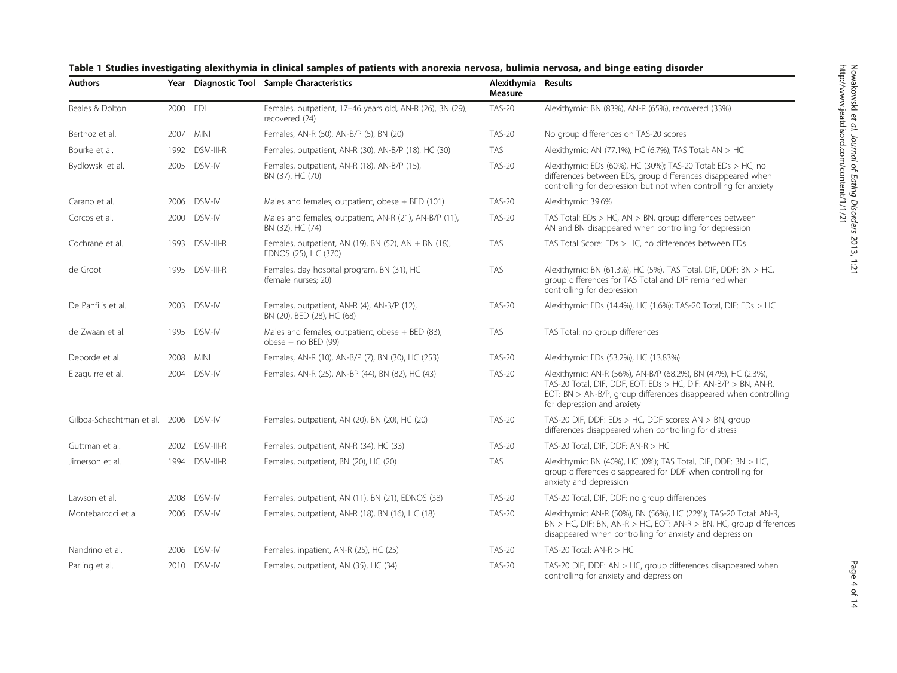| <b>Authors</b>                       |          |                  | Year Diagnostic Tool Sample Characteristics                                  | Alexithymia Results<br>Measure |                                                                                                                                                                                                                                   |
|--------------------------------------|----------|------------------|------------------------------------------------------------------------------|--------------------------------|-----------------------------------------------------------------------------------------------------------------------------------------------------------------------------------------------------------------------------------|
| Beales & Dolton                      | 2000 EDI |                  | Females, outpatient, 17-46 years old, AN-R (26), BN (29),<br>recovered (24)  | <b>TAS-20</b>                  | Alexithymic: BN (83%), AN-R (65%), recovered (33%)                                                                                                                                                                                |
| Berthoz et al.                       | 2007     | <b>MINI</b>      | Females, AN-R (50), AN-B/P (5), BN (20)                                      | <b>TAS-20</b>                  | No group differences on TAS-20 scores                                                                                                                                                                                             |
| Bourke et al.                        | 1992     | <b>DSM-III-R</b> | Females, outpatient, AN-R (30), AN-B/P (18), HC (30)                         | <b>TAS</b>                     | Alexithymic: AN (77.1%), HC (6.7%); TAS Total: AN > HC                                                                                                                                                                            |
| Bydlowski et al.                     | 2005     | DSM-IV           | Females, outpatient, AN-R (18), AN-B/P (15),<br>BN (37), HC (70)             | <b>TAS-20</b>                  | Alexithymic: EDs (60%), HC (30%); TAS-20 Total: EDs > HC, no<br>differences between EDs, group differences disappeared when<br>controlling for depression but not when controlling for anxiety                                    |
| Carano et al.                        | 2006     | DSM-IV           | Males and females, outpatient, obese $+$ BED (101)                           | <b>TAS-20</b>                  | Alexithymic: 39.6%                                                                                                                                                                                                                |
| Corcos et al.                        | 2000     | DSM-IV           | Males and females, outpatient, AN-R (21), AN-B/P (11),<br>BN (32), HC (74)   | <b>TAS-20</b>                  | TAS Total: EDs > HC, AN > BN, group differences between<br>AN and BN disappeared when controlling for depression                                                                                                                  |
| Cochrane et al.                      | 1993     | <b>DSM-III-R</b> | Females, outpatient, AN (19), BN (52), AN + BN (18),<br>EDNOS (25), HC (370) | <b>TAS</b>                     | TAS Total Score: EDs > HC, no differences between EDs                                                                                                                                                                             |
| de Groot                             | 1995     | DSM-III-R        | Females, day hospital program, BN (31), HC<br>(female nurses; 20)            | <b>TAS</b>                     | Alexithymic: BN (61.3%), HC (5%), TAS Total, DIF, DDF: BN > HC,<br>group differences for TAS Total and DIF remained when<br>controlling for depression                                                                            |
| De Panfilis et al.                   | 2003     | DSM-IV           | Females, outpatient, AN-R (4), AN-B/P (12),<br>BN (20), BED (28), HC (68)    | <b>TAS-20</b>                  | Alexithymic: EDs (14.4%), HC (1.6%); TAS-20 Total, DIF: EDs > HC                                                                                                                                                                  |
| de Zwaan et al.                      | 1995     | DSM-IV           | Males and females, outpatient, obese + BED (83),<br>obese + no BED $(99)$    | <b>TAS</b>                     | TAS Total: no group differences                                                                                                                                                                                                   |
| Deborde et al.                       | 2008     | <b>MINI</b>      | Females, AN-R (10), AN-B/P (7), BN (30), HC (253)                            | <b>TAS-20</b>                  | Alexithymic: EDs (53.2%), HC (13.83%)                                                                                                                                                                                             |
| Eizaguirre et al.                    | 2004     | DSM-IV           | Females, AN-R (25), AN-BP (44), BN (82), HC (43)                             | <b>TAS-20</b>                  | Alexithymic: AN-R (56%), AN-B/P (68.2%), BN (47%), HC (2.3%),<br>TAS-20 Total, DIF, DDF, EOT: EDs > HC, DIF: AN-B/P > BN, AN-R,<br>EOT: BN > AN-B/P, group differences disappeared when controlling<br>for depression and anxiety |
| Gilboa-Schechtman et al. 2006 DSM-IV |          |                  | Females, outpatient, AN (20), BN (20), HC (20)                               | <b>TAS-20</b>                  | TAS-20 DIF, DDF: EDs > HC, DDF scores: AN > BN, group<br>differences disappeared when controlling for distress                                                                                                                    |
| Guttman et al.                       | 2002     | <b>DSM-III-R</b> | Females, outpatient, AN-R (34), HC (33)                                      | <b>TAS-20</b>                  | TAS-20 Total, DIF, DDF: $AN-R > HC$                                                                                                                                                                                               |
| Jimerson et al.                      | 1994     | DSM-III-R        | Females, outpatient, BN (20), HC (20)                                        | <b>TAS</b>                     | Alexithymic: BN (40%), HC (0%); TAS Total, DIF, DDF: BN > HC,<br>group differences disappeared for DDF when controlling for<br>anxiety and depression                                                                             |
| Lawson et al.                        | 2008     | DSM-IV           | Females, outpatient, AN (11), BN (21), EDNOS (38)                            | <b>TAS-20</b>                  | TAS-20 Total, DIF, DDF: no group differences                                                                                                                                                                                      |
| Montebarocci et al.                  | 2006     | DSM-IV           | Females, outpatient, AN-R (18), BN (16), HC (18)                             | <b>TAS-20</b>                  | Alexithymic: AN-R (50%), BN (56%), HC (22%); TAS-20 Total: AN-R,<br>$BN > HC$ , DIF: BN, AN-R > HC, EOT: AN-R > BN, HC, group differences<br>disappeared when controlling for anxiety and depression                              |
| Nandrino et al.                      | 2006     | DSM-IV           | Females, inpatient, AN-R (25), HC (25)                                       | <b>TAS-20</b>                  | TAS-20 Total: $AN-R > HC$                                                                                                                                                                                                         |
| Parling et al.                       | 2010     | DSM-IV           | Females, outpatient, AN (35), HC (34)                                        | <b>TAS-20</b>                  | TAS-20 DIF, DDF: AN > HC, group differences disappeared when<br>controlling for anxiety and depression                                                                                                                            |

# <span id="page-3-0"></span>Table 1 Studies investigating alexithymia in clinical samples of patients with anorexia nervosa, bulimia nervosa, and binge eating disorder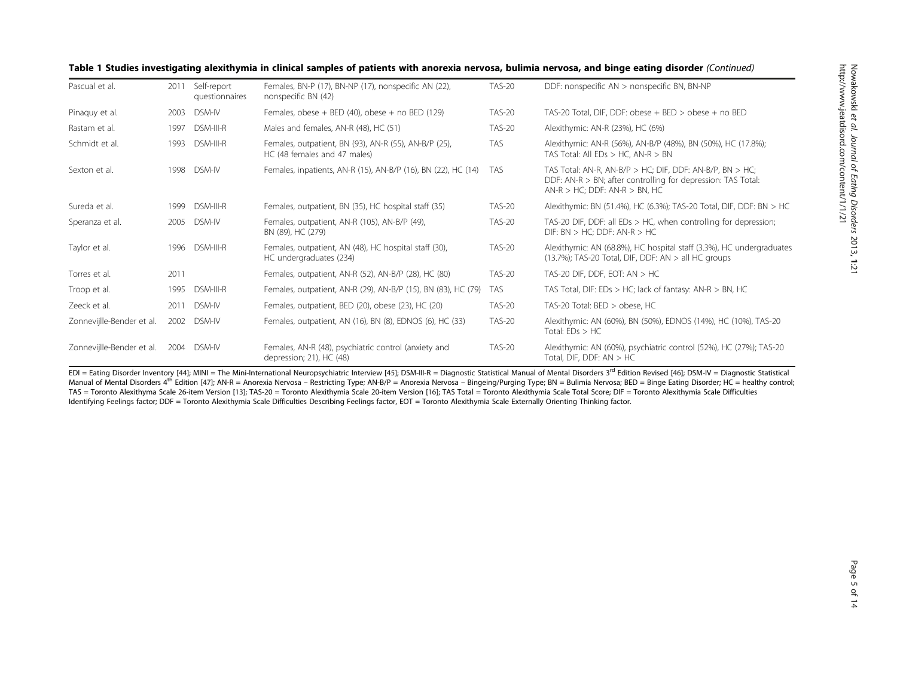| Pascual et al.            | 2011 | Self-report<br>questionnaires | Females, BN-P (17), BN-NP (17), nonspecific AN (22),<br>nonspecific BN (42)           | <b>TAS-20</b> | DDF: nonspecific AN > nonspecific BN, BN-NP                                                                                                                        |
|---------------------------|------|-------------------------------|---------------------------------------------------------------------------------------|---------------|--------------------------------------------------------------------------------------------------------------------------------------------------------------------|
| Pinaquy et al.            | 2003 | DSM-IV                        | Females, obese + BED (40), obese + no BED (129)                                       | <b>TAS-20</b> | TAS-20 Total, DIF, DDF: obese + BED > obese + no BED                                                                                                               |
| Rastam et al.             | 1997 | DSM-III-R                     | Males and females, AN-R (48), HC (51)                                                 | <b>TAS-20</b> | Alexithymic: AN-R (23%), HC (6%)                                                                                                                                   |
| Schmidt et al.            | 1993 | DSM-III-R                     | Females, outpatient, BN (93), AN-R (55), AN-B/P (25),<br>HC (48 females and 47 males) | <b>TAS</b>    | Alexithymic: AN-R (56%), AN-B/P (48%), BN (50%), HC (17.8%);<br>TAS Total: All $EDs > HC$ , AN-R $> BN$                                                            |
| Sexton et al.             | 1998 | DSM-IV                        | Females, inpatients, AN-R (15), AN-B/P (16), BN (22), HC (14)                         | <b>TAS</b>    | TAS Total: AN-R, AN-B/P > HC; DIF, DDF: AN-B/P, BN > HC;<br>DDF: $AN-R > BN$ ; after controlling for depression: TAS Total:<br>$AN-R > HC$ ; DDF: $AN-R > BN$ , HC |
| Sureda et al.             | 1999 | DSM-III-R                     | Females, outpatient, BN (35), HC hospital staff (35)                                  | <b>TAS-20</b> | Alexithymic: BN (51.4%), HC (6.3%); TAS-20 Total, DIF, DDF: BN > HC                                                                                                |
| Speranza et al.           | 2005 | DSM-IV                        | Females, outpatient, AN-R (105), AN-B/P (49),<br>BN (89), HC (279)                    | <b>TAS-20</b> | TAS-20 DIF, DDF: all EDs $>$ HC, when controlling for depression;<br>$DIF: BN > HC$ ; $DDF: AN-R > HC$                                                             |
| Taylor et al.             | 1996 | DSM-III-R                     | Females, outpatient, AN (48), HC hospital staff (30),<br>HC undergraduates (234)      | <b>TAS-20</b> | Alexithymic: AN (68.8%), HC hospital staff (3.3%), HC undergraduates<br>$(13.7%)$ ; TAS-20 Total, DIF, DDF: AN $>$ all HC groups                                   |
| Torres et al.             | 2011 |                               | Females, outpatient, AN-R (52), AN-B/P (28), HC (80)                                  | <b>TAS-20</b> | TAS-20 DIF, DDF, EOT: $AN > HC$                                                                                                                                    |
| Troop et al.              | 1995 | DSM-III-R                     | Females, outpatient, AN-R (29), AN-B/P (15), BN (83), HC (79)                         | <b>TAS</b>    | TAS Total, DIF: EDs > HC; lack of fantasy: AN-R > BN, HC                                                                                                           |
| Zeeck et al.              | 2011 | DSM-IV                        | Females, outpatient, BED (20), obese (23), HC (20)                                    | <b>TAS-20</b> | TAS-20 Total: BED > obese, HC                                                                                                                                      |
| Zonnevijlle-Bender et al. | 2002 | DSM-IV                        | Females, outpatient, AN (16), BN (8), EDNOS (6), HC (33)                              | <b>TAS-20</b> | Alexithymic: AN (60%), BN (50%), EDNOS (14%), HC (10%), TAS-20<br>Total: $EDs > HC$                                                                                |
| Zonnevijlle-Bender et al. | 2004 | DSM-IV                        | Females, AN-R (48), psychiatric control (anxiety and<br>depression; 21), HC (48)      | <b>TAS-20</b> | Alexithymic: AN (60%), psychiatric control (52%), HC (27%); TAS-20<br>Total, DIF, DDF: $AN > HC$                                                                   |

|  |  | Table 1 Studies investigating alexithymia in clinical samples of patients with anorexia nervosa, bulimia nervosa, and binge eating disorder (Continued) |
|--|--|---------------------------------------------------------------------------------------------------------------------------------------------------------|
|--|--|---------------------------------------------------------------------------------------------------------------------------------------------------------|

EDI = Eating Disorder Inventory [\[44](#page-12-0)]; MINI = The Mini-International Neuropsychiatric Interview [\[45](#page-12-0)]; DSM-III-R = Diagnostic Statistical Manual of Mental Disorders 3<sup>rd</sup> Edition Revised [[46\]](#page-12-0); DSM-IV = Diagnostic Statistical Manual of Mental Disorders 4<sup>th</sup> Edition [\[47\]](#page-12-0); AN-R = Anorexia Nervosa – Restricting Type; AN-B/P = Anorexia Nervosa – Bingeing/Purging Type; BN = Bulimia Nervosa; BED = Binge Eating Disorder; HC = healthy control; TAS = Toronto Alexithyma Scale 26-item Version [\[13](#page-11-0)]; TAS-20 = Toronto Alexithymia Scale 20-item Version [[16](#page-11-0)]; TAS Total = Toronto Alexithymia Scale Total Score; DIF = Toronto Alexithymia Scale Difficulties Identifying Feelings factor; DDF = Toronto Alexithymia Scale Difficulties Describing Feelings factor, EOT = Toronto Alexithymia Scale Externally Orienting Thinking factor.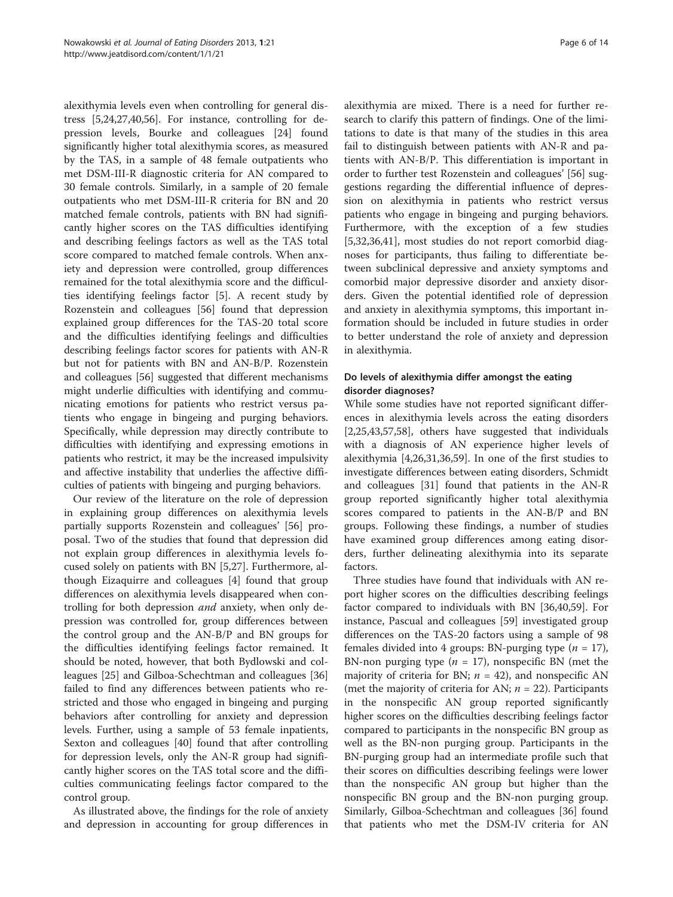alexithymia levels even when controlling for general distress [\[5](#page-11-0),[24,27,40,56](#page-12-0)]. For instance, controlling for depression levels, Bourke and colleagues [\[24](#page-12-0)] found significantly higher total alexithymia scores, as measured by the TAS, in a sample of 48 female outpatients who met DSM-III-R diagnostic criteria for AN compared to 30 female controls. Similarly, in a sample of 20 female outpatients who met DSM-III-R criteria for BN and 20 matched female controls, patients with BN had significantly higher scores on the TAS difficulties identifying and describing feelings factors as well as the TAS total score compared to matched female controls. When anxiety and depression were controlled, group differences remained for the total alexithymia score and the difficulties identifying feelings factor [[5\]](#page-11-0). A recent study by Rozenstein and colleagues [[56](#page-12-0)] found that depression explained group differences for the TAS-20 total score and the difficulties identifying feelings and difficulties describing feelings factor scores for patients with AN-R but not for patients with BN and AN-B/P. Rozenstein and colleagues [\[56](#page-12-0)] suggested that different mechanisms might underlie difficulties with identifying and communicating emotions for patients who restrict versus patients who engage in bingeing and purging behaviors. Specifically, while depression may directly contribute to difficulties with identifying and expressing emotions in patients who restrict, it may be the increased impulsivity and affective instability that underlies the affective difficulties of patients with bingeing and purging behaviors.

Our review of the literature on the role of depression in explaining group differences on alexithymia levels partially supports Rozenstein and colleagues' [\[56](#page-12-0)] proposal. Two of the studies that found that depression did not explain group differences in alexithymia levels focused solely on patients with BN [[5,](#page-11-0)[27\]](#page-12-0). Furthermore, although Eizaquirre and colleagues [\[4\]](#page-11-0) found that group differences on alexithymia levels disappeared when controlling for both depression and anxiety, when only depression was controlled for, group differences between the control group and the AN-B/P and BN groups for the difficulties identifying feelings factor remained. It should be noted, however, that both Bydlowski and colleagues [[25\]](#page-12-0) and Gilboa-Schechtman and colleagues [[36](#page-12-0)] failed to find any differences between patients who restricted and those who engaged in bingeing and purging behaviors after controlling for anxiety and depression levels. Further, using a sample of 53 female inpatients, Sexton and colleagues [\[40](#page-12-0)] found that after controlling for depression levels, only the AN-R group had significantly higher scores on the TAS total score and the difficulties communicating feelings factor compared to the control group.

As illustrated above, the findings for the role of anxiety and depression in accounting for group differences in

alexithymia are mixed. There is a need for further research to clarify this pattern of findings. One of the limitations to date is that many of the studies in this area fail to distinguish between patients with AN-R and patients with AN-B/P. This differentiation is important in order to further test Rozenstein and colleagues' [\[56](#page-12-0)] suggestions regarding the differential influence of depression on alexithymia in patients who restrict versus patients who engage in bingeing and purging behaviors. Furthermore, with the exception of a few studies [[5,](#page-11-0)[32,36,41\]](#page-12-0), most studies do not report comorbid diagnoses for participants, thus failing to differentiate between subclinical depressive and anxiety symptoms and comorbid major depressive disorder and anxiety disorders. Given the potential identified role of depression and anxiety in alexithymia symptoms, this important information should be included in future studies in order to better understand the role of anxiety and depression in alexithymia.

# Do levels of alexithymia differ amongst the eating disorder diagnoses?

While some studies have not reported significant differences in alexithymia levels across the eating disorders [[2,](#page-11-0)[25,43,57,58\]](#page-12-0), others have suggested that individuals with a diagnosis of AN experience higher levels of alexithymia [\[4](#page-11-0)[,26,31,36,59\]](#page-12-0). In one of the first studies to investigate differences between eating disorders, Schmidt and colleagues [[31](#page-12-0)] found that patients in the AN-R group reported significantly higher total alexithymia scores compared to patients in the AN-B/P and BN groups. Following these findings, a number of studies have examined group differences among eating disorders, further delineating alexithymia into its separate factors.

Three studies have found that individuals with AN report higher scores on the difficulties describing feelings factor compared to individuals with BN [\[36,40,59](#page-12-0)]. For instance, Pascual and colleagues [[59\]](#page-12-0) investigated group differences on the TAS-20 factors using a sample of 98 females divided into 4 groups: BN-purging type ( $n = 17$ ), BN-non purging type ( $n = 17$ ), nonspecific BN (met the majority of criteria for BN;  $n = 42$ ), and nonspecific AN (met the majority of criteria for AN;  $n = 22$ ). Participants in the nonspecific AN group reported significantly higher scores on the difficulties describing feelings factor compared to participants in the nonspecific BN group as well as the BN-non purging group. Participants in the BN-purging group had an intermediate profile such that their scores on difficulties describing feelings were lower than the nonspecific AN group but higher than the nonspecific BN group and the BN-non purging group. Similarly, Gilboa-Schechtman and colleagues [[36\]](#page-12-0) found that patients who met the DSM-IV criteria for AN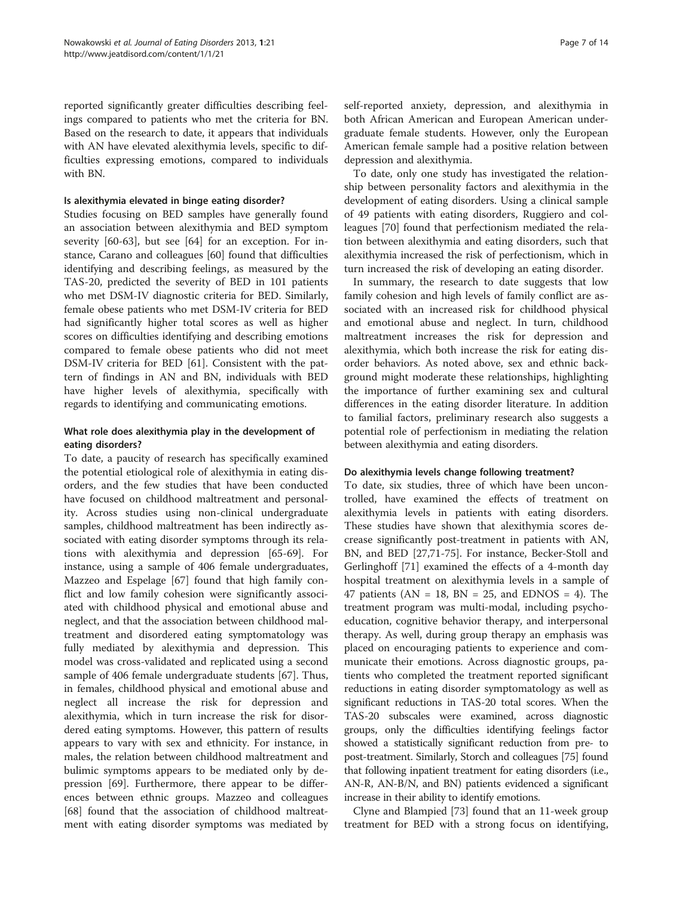reported significantly greater difficulties describing feelings compared to patients who met the criteria for BN. Based on the research to date, it appears that individuals with AN have elevated alexithymia levels, specific to difficulties expressing emotions, compared to individuals with BN.

#### Is alexithymia elevated in binge eating disorder?

Studies focusing on BED samples have generally found an association between alexithymia and BED symptom severity [\[60](#page-12-0)-[63\]](#page-12-0), but see [[64\]](#page-12-0) for an exception. For instance, Carano and colleagues [\[60\]](#page-12-0) found that difficulties identifying and describing feelings, as measured by the TAS-20, predicted the severity of BED in 101 patients who met DSM-IV diagnostic criteria for BED. Similarly, female obese patients who met DSM-IV criteria for BED had significantly higher total scores as well as higher scores on difficulties identifying and describing emotions compared to female obese patients who did not meet DSM-IV criteria for BED [[61\]](#page-12-0). Consistent with the pattern of findings in AN and BN, individuals with BED have higher levels of alexithymia, specifically with regards to identifying and communicating emotions.

### What role does alexithymia play in the development of eating disorders?

To date, a paucity of research has specifically examined the potential etiological role of alexithymia in eating disorders, and the few studies that have been conducted have focused on childhood maltreatment and personality. Across studies using non-clinical undergraduate samples, childhood maltreatment has been indirectly associated with eating disorder symptoms through its relations with alexithymia and depression [[65](#page-12-0)-[69\]](#page-12-0). For instance, using a sample of 406 female undergraduates, Mazzeo and Espelage [[67](#page-12-0)] found that high family conflict and low family cohesion were significantly associated with childhood physical and emotional abuse and neglect, and that the association between childhood maltreatment and disordered eating symptomatology was fully mediated by alexithymia and depression. This model was cross-validated and replicated using a second sample of 406 female undergraduate students [\[67](#page-12-0)]. Thus, in females, childhood physical and emotional abuse and neglect all increase the risk for depression and alexithymia, which in turn increase the risk for disordered eating symptoms. However, this pattern of results appears to vary with sex and ethnicity. For instance, in males, the relation between childhood maltreatment and bulimic symptoms appears to be mediated only by depression [\[69\]](#page-12-0). Furthermore, there appear to be differences between ethnic groups. Mazzeo and colleagues [[68\]](#page-12-0) found that the association of childhood maltreatment with eating disorder symptoms was mediated by self-reported anxiety, depression, and alexithymia in both African American and European American undergraduate female students. However, only the European American female sample had a positive relation between depression and alexithymia.

To date, only one study has investigated the relationship between personality factors and alexithymia in the development of eating disorders. Using a clinical sample of 49 patients with eating disorders, Ruggiero and colleagues [[70\]](#page-13-0) found that perfectionism mediated the relation between alexithymia and eating disorders, such that alexithymia increased the risk of perfectionism, which in turn increased the risk of developing an eating disorder.

In summary, the research to date suggests that low family cohesion and high levels of family conflict are associated with an increased risk for childhood physical and emotional abuse and neglect. In turn, childhood maltreatment increases the risk for depression and alexithymia, which both increase the risk for eating disorder behaviors. As noted above, sex and ethnic background might moderate these relationships, highlighting the importance of further examining sex and cultural differences in the eating disorder literature. In addition to familial factors, preliminary research also suggests a potential role of perfectionism in mediating the relation between alexithymia and eating disorders.

#### Do alexithymia levels change following treatment?

To date, six studies, three of which have been uncontrolled, have examined the effects of treatment on alexithymia levels in patients with eating disorders. These studies have shown that alexithymia scores decrease significantly post-treatment in patients with AN, BN, and BED [[27](#page-12-0),[71](#page-13-0)-[75\]](#page-13-0). For instance, Becker-Stoll and Gerlinghoff [\[71](#page-13-0)] examined the effects of a 4-month day hospital treatment on alexithymia levels in a sample of 47 patients (AN = 18, BN = 25, and EDNOS = 4). The treatment program was multi-modal, including psychoeducation, cognitive behavior therapy, and interpersonal therapy. As well, during group therapy an emphasis was placed on encouraging patients to experience and communicate their emotions. Across diagnostic groups, patients who completed the treatment reported significant reductions in eating disorder symptomatology as well as significant reductions in TAS-20 total scores. When the TAS-20 subscales were examined, across diagnostic groups, only the difficulties identifying feelings factor showed a statistically significant reduction from pre- to post-treatment. Similarly, Storch and colleagues [\[75](#page-13-0)] found that following inpatient treatment for eating disorders (i.e., AN-R, AN-B/N, and BN) patients evidenced a significant increase in their ability to identify emotions.

Clyne and Blampied [\[73\]](#page-13-0) found that an 11-week group treatment for BED with a strong focus on identifying,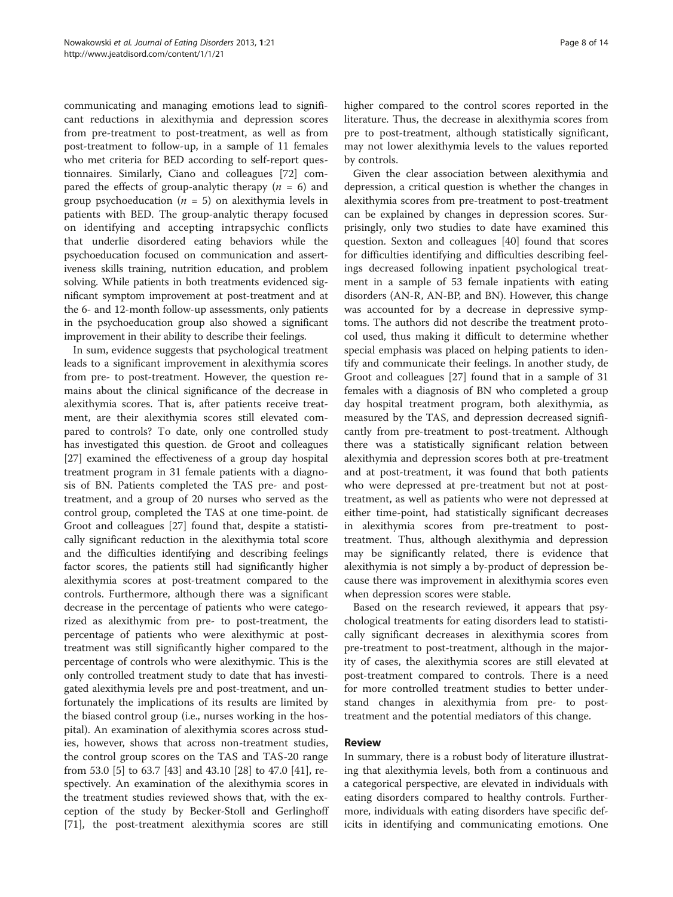communicating and managing emotions lead to significant reductions in alexithymia and depression scores from pre-treatment to post-treatment, as well as from post-treatment to follow-up, in a sample of 11 females who met criteria for BED according to self-report questionnaires. Similarly, Ciano and colleagues [\[72](#page-13-0)] compared the effects of group-analytic therapy  $(n = 6)$  and group psychoeducation ( $n = 5$ ) on alexithymia levels in patients with BED. The group-analytic therapy focused on identifying and accepting intrapsychic conflicts that underlie disordered eating behaviors while the psychoeducation focused on communication and assertiveness skills training, nutrition education, and problem solving. While patients in both treatments evidenced significant symptom improvement at post-treatment and at the 6- and 12-month follow-up assessments, only patients in the psychoeducation group also showed a significant improvement in their ability to describe their feelings.

In sum, evidence suggests that psychological treatment leads to a significant improvement in alexithymia scores from pre- to post-treatment. However, the question remains about the clinical significance of the decrease in alexithymia scores. That is, after patients receive treatment, are their alexithymia scores still elevated compared to controls? To date, only one controlled study has investigated this question. de Groot and colleagues [[27\]](#page-12-0) examined the effectiveness of a group day hospital treatment program in 31 female patients with a diagnosis of BN. Patients completed the TAS pre- and posttreatment, and a group of 20 nurses who served as the control group, completed the TAS at one time-point. de Groot and colleagues [[27](#page-12-0)] found that, despite a statistically significant reduction in the alexithymia total score and the difficulties identifying and describing feelings factor scores, the patients still had significantly higher alexithymia scores at post-treatment compared to the controls. Furthermore, although there was a significant decrease in the percentage of patients who were categorized as alexithymic from pre- to post-treatment, the percentage of patients who were alexithymic at posttreatment was still significantly higher compared to the percentage of controls who were alexithymic. This is the only controlled treatment study to date that has investigated alexithymia levels pre and post-treatment, and unfortunately the implications of its results are limited by the biased control group (i.e., nurses working in the hospital). An examination of alexithymia scores across studies, however, shows that across non-treatment studies, the control group scores on the TAS and TAS-20 range from 53.0 [[5\]](#page-11-0) to 63.7 [\[43\]](#page-12-0) and 43.10 [\[28](#page-12-0)] to 47.0 [[41\]](#page-12-0), respectively. An examination of the alexithymia scores in the treatment studies reviewed shows that, with the exception of the study by Becker-Stoll and Gerlinghoff [[71\]](#page-13-0), the post-treatment alexithymia scores are still

higher compared to the control scores reported in the literature. Thus, the decrease in alexithymia scores from pre to post-treatment, although statistically significant, may not lower alexithymia levels to the values reported by controls.

Given the clear association between alexithymia and depression, a critical question is whether the changes in alexithymia scores from pre-treatment to post-treatment can be explained by changes in depression scores. Surprisingly, only two studies to date have examined this question. Sexton and colleagues [\[40](#page-12-0)] found that scores for difficulties identifying and difficulties describing feelings decreased following inpatient psychological treatment in a sample of 53 female inpatients with eating disorders (AN-R, AN-BP, and BN). However, this change was accounted for by a decrease in depressive symptoms. The authors did not describe the treatment protocol used, thus making it difficult to determine whether special emphasis was placed on helping patients to identify and communicate their feelings. In another study, de Groot and colleagues [\[27](#page-12-0)] found that in a sample of 31 females with a diagnosis of BN who completed a group day hospital treatment program, both alexithymia, as measured by the TAS, and depression decreased significantly from pre-treatment to post-treatment. Although there was a statistically significant relation between alexithymia and depression scores both at pre-treatment and at post-treatment, it was found that both patients who were depressed at pre-treatment but not at posttreatment, as well as patients who were not depressed at either time-point, had statistically significant decreases in alexithymia scores from pre-treatment to posttreatment. Thus, although alexithymia and depression may be significantly related, there is evidence that alexithymia is not simply a by-product of depression because there was improvement in alexithymia scores even when depression scores were stable.

Based on the research reviewed, it appears that psychological treatments for eating disorders lead to statistically significant decreases in alexithymia scores from pre-treatment to post-treatment, although in the majority of cases, the alexithymia scores are still elevated at post-treatment compared to controls. There is a need for more controlled treatment studies to better understand changes in alexithymia from pre- to posttreatment and the potential mediators of this change.

#### Review

In summary, there is a robust body of literature illustrating that alexithymia levels, both from a continuous and a categorical perspective, are elevated in individuals with eating disorders compared to healthy controls. Furthermore, individuals with eating disorders have specific deficits in identifying and communicating emotions. One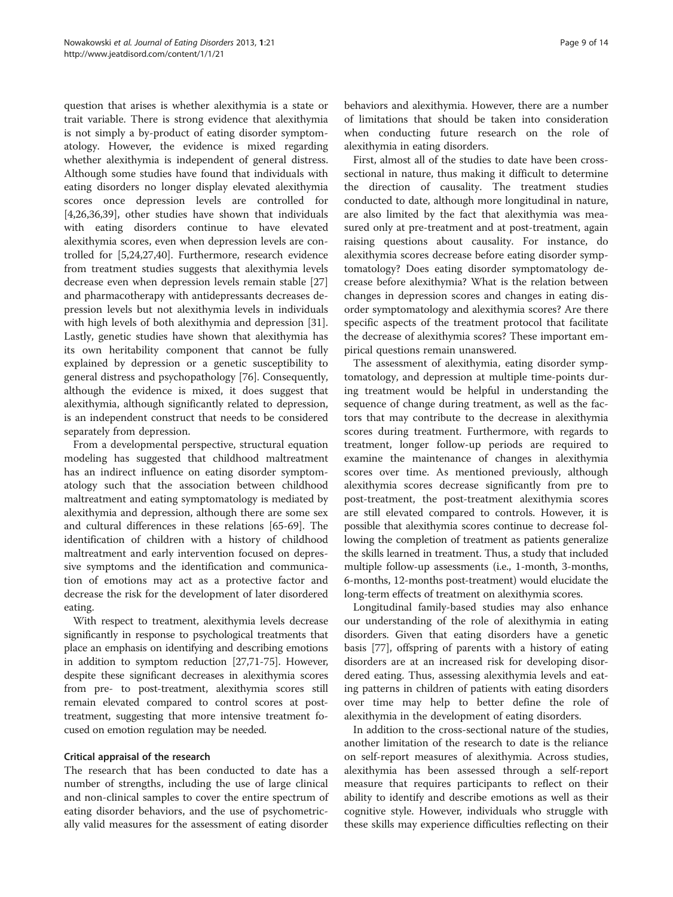question that arises is whether alexithymia is a state or trait variable. There is strong evidence that alexithymia is not simply a by-product of eating disorder symptomatology. However, the evidence is mixed regarding whether alexithymia is independent of general distress. Although some studies have found that individuals with eating disorders no longer display elevated alexithymia scores once depression levels are controlled for [[4,](#page-11-0)[26,36,39\]](#page-12-0), other studies have shown that individuals with eating disorders continue to have elevated alexithymia scores, even when depression levels are controlled for [\[5](#page-11-0)[,24,27,40\]](#page-12-0). Furthermore, research evidence from treatment studies suggests that alexithymia levels decrease even when depression levels remain stable [[27](#page-12-0)] and pharmacotherapy with antidepressants decreases depression levels but not alexithymia levels in individuals with high levels of both alexithymia and depression [\[31](#page-12-0)]. Lastly, genetic studies have shown that alexithymia has its own heritability component that cannot be fully explained by depression or a genetic susceptibility to general distress and psychopathology [[76](#page-13-0)]. Consequently, although the evidence is mixed, it does suggest that alexithymia, although significantly related to depression, is an independent construct that needs to be considered separately from depression.

From a developmental perspective, structural equation modeling has suggested that childhood maltreatment has an indirect influence on eating disorder symptomatology such that the association between childhood maltreatment and eating symptomatology is mediated by alexithymia and depression, although there are some sex and cultural differences in these relations [\[65](#page-12-0)-[69\]](#page-12-0). The identification of children with a history of childhood maltreatment and early intervention focused on depressive symptoms and the identification and communication of emotions may act as a protective factor and decrease the risk for the development of later disordered eating.

With respect to treatment, alexithymia levels decrease significantly in response to psychological treatments that place an emphasis on identifying and describing emotions in addition to symptom reduction [[27](#page-12-0)[,71](#page-13-0)-[75](#page-13-0)]. However, despite these significant decreases in alexithymia scores from pre- to post-treatment, alexithymia scores still remain elevated compared to control scores at posttreatment, suggesting that more intensive treatment focused on emotion regulation may be needed.

#### Critical appraisal of the research

The research that has been conducted to date has a number of strengths, including the use of large clinical and non-clinical samples to cover the entire spectrum of eating disorder behaviors, and the use of psychometrically valid measures for the assessment of eating disorder behaviors and alexithymia. However, there are a number of limitations that should be taken into consideration when conducting future research on the role of alexithymia in eating disorders.

First, almost all of the studies to date have been crosssectional in nature, thus making it difficult to determine the direction of causality. The treatment studies conducted to date, although more longitudinal in nature, are also limited by the fact that alexithymia was measured only at pre-treatment and at post-treatment, again raising questions about causality. For instance, do alexithymia scores decrease before eating disorder symptomatology? Does eating disorder symptomatology decrease before alexithymia? What is the relation between changes in depression scores and changes in eating disorder symptomatology and alexithymia scores? Are there specific aspects of the treatment protocol that facilitate the decrease of alexithymia scores? These important empirical questions remain unanswered.

The assessment of alexithymia, eating disorder symptomatology, and depression at multiple time-points during treatment would be helpful in understanding the sequence of change during treatment, as well as the factors that may contribute to the decrease in alexithymia scores during treatment. Furthermore, with regards to treatment, longer follow-up periods are required to examine the maintenance of changes in alexithymia scores over time. As mentioned previously, although alexithymia scores decrease significantly from pre to post-treatment, the post-treatment alexithymia scores are still elevated compared to controls. However, it is possible that alexithymia scores continue to decrease following the completion of treatment as patients generalize the skills learned in treatment. Thus, a study that included multiple follow-up assessments (i.e., 1-month, 3-months, 6-months, 12-months post-treatment) would elucidate the long-term effects of treatment on alexithymia scores.

Longitudinal family-based studies may also enhance our understanding of the role of alexithymia in eating disorders. Given that eating disorders have a genetic basis [[77\]](#page-13-0), offspring of parents with a history of eating disorders are at an increased risk for developing disordered eating. Thus, assessing alexithymia levels and eating patterns in children of patients with eating disorders over time may help to better define the role of alexithymia in the development of eating disorders.

In addition to the cross-sectional nature of the studies, another limitation of the research to date is the reliance on self-report measures of alexithymia. Across studies, alexithymia has been assessed through a self-report measure that requires participants to reflect on their ability to identify and describe emotions as well as their cognitive style. However, individuals who struggle with these skills may experience difficulties reflecting on their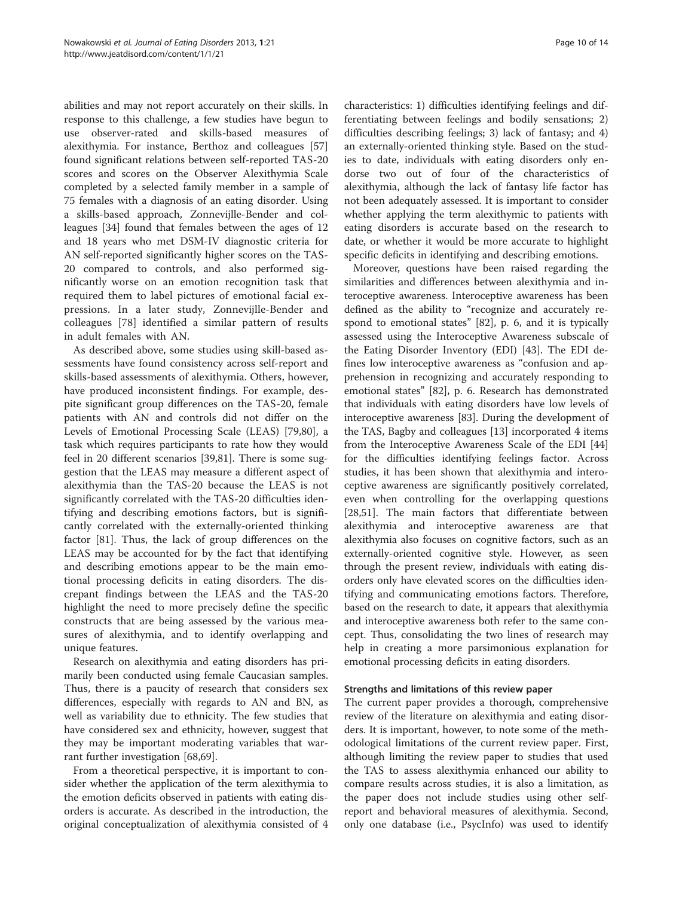abilities and may not report accurately on their skills. In response to this challenge, a few studies have begun to use observer-rated and skills-based measures of alexithymia. For instance, Berthoz and colleagues [[57](#page-12-0)] found significant relations between self-reported TAS-20 scores and scores on the Observer Alexithymia Scale completed by a selected family member in a sample of 75 females with a diagnosis of an eating disorder. Using a skills-based approach, Zonnevijlle-Bender and colleagues [\[34](#page-12-0)] found that females between the ages of 12 and 18 years who met DSM-IV diagnostic criteria for AN self-reported significantly higher scores on the TAS-20 compared to controls, and also performed significantly worse on an emotion recognition task that required them to label pictures of emotional facial expressions. In a later study, Zonnevijlle-Bender and colleagues [[78\]](#page-13-0) identified a similar pattern of results in adult females with AN.

As described above, some studies using skill-based assessments have found consistency across self-report and skills-based assessments of alexithymia. Others, however, have produced inconsistent findings. For example, despite significant group differences on the TAS-20, female patients with AN and controls did not differ on the Levels of Emotional Processing Scale (LEAS) [[79,80\]](#page-13-0), a task which requires participants to rate how they would feel in 20 different scenarios [[39,](#page-12-0)[81\]](#page-13-0). There is some suggestion that the LEAS may measure a different aspect of alexithymia than the TAS-20 because the LEAS is not significantly correlated with the TAS-20 difficulties identifying and describing emotions factors, but is significantly correlated with the externally-oriented thinking factor [[81\]](#page-13-0). Thus, the lack of group differences on the LEAS may be accounted for by the fact that identifying and describing emotions appear to be the main emotional processing deficits in eating disorders. The discrepant findings between the LEAS and the TAS-20 highlight the need to more precisely define the specific constructs that are being assessed by the various measures of alexithymia, and to identify overlapping and unique features.

Research on alexithymia and eating disorders has primarily been conducted using female Caucasian samples. Thus, there is a paucity of research that considers sex differences, especially with regards to AN and BN, as well as variability due to ethnicity. The few studies that have considered sex and ethnicity, however, suggest that they may be important moderating variables that warrant further investigation [[68](#page-12-0),[69](#page-12-0)].

From a theoretical perspective, it is important to consider whether the application of the term alexithymia to the emotion deficits observed in patients with eating disorders is accurate. As described in the introduction, the original conceptualization of alexithymia consisted of 4

characteristics: 1) difficulties identifying feelings and differentiating between feelings and bodily sensations; 2) difficulties describing feelings; 3) lack of fantasy; and 4) an externally-oriented thinking style. Based on the studies to date, individuals with eating disorders only endorse two out of four of the characteristics of alexithymia, although the lack of fantasy life factor has not been adequately assessed. It is important to consider whether applying the term alexithymic to patients with eating disorders is accurate based on the research to date, or whether it would be more accurate to highlight specific deficits in identifying and describing emotions.

Moreover, questions have been raised regarding the similarities and differences between alexithymia and interoceptive awareness. Interoceptive awareness has been defined as the ability to "recognize and accurately respond to emotional states" [\[82\]](#page-13-0), p. 6, and it is typically assessed using the Interoceptive Awareness subscale of the Eating Disorder Inventory (EDI) [\[43](#page-12-0)]. The EDI defines low interoceptive awareness as "confusion and apprehension in recognizing and accurately responding to emotional states" [[82\]](#page-13-0), p. 6. Research has demonstrated that individuals with eating disorders have low levels of interoceptive awareness [\[83](#page-13-0)]. During the development of the TAS, Bagby and colleagues [\[13\]](#page-11-0) incorporated 4 items from the Interoceptive Awareness Scale of the EDI [[44](#page-12-0)] for the difficulties identifying feelings factor. Across studies, it has been shown that alexithymia and interoceptive awareness are significantly positively correlated, even when controlling for the overlapping questions [[28,51\]](#page-12-0). The main factors that differentiate between alexithymia and interoceptive awareness are that alexithymia also focuses on cognitive factors, such as an externally-oriented cognitive style. However, as seen through the present review, individuals with eating disorders only have elevated scores on the difficulties identifying and communicating emotions factors. Therefore, based on the research to date, it appears that alexithymia and interoceptive awareness both refer to the same concept. Thus, consolidating the two lines of research may help in creating a more parsimonious explanation for emotional processing deficits in eating disorders.

#### Strengths and limitations of this review paper

The current paper provides a thorough, comprehensive review of the literature on alexithymia and eating disorders. It is important, however, to note some of the methodological limitations of the current review paper. First, although limiting the review paper to studies that used the TAS to assess alexithymia enhanced our ability to compare results across studies, it is also a limitation, as the paper does not include studies using other selfreport and behavioral measures of alexithymia. Second, only one database (i.e., PsycInfo) was used to identify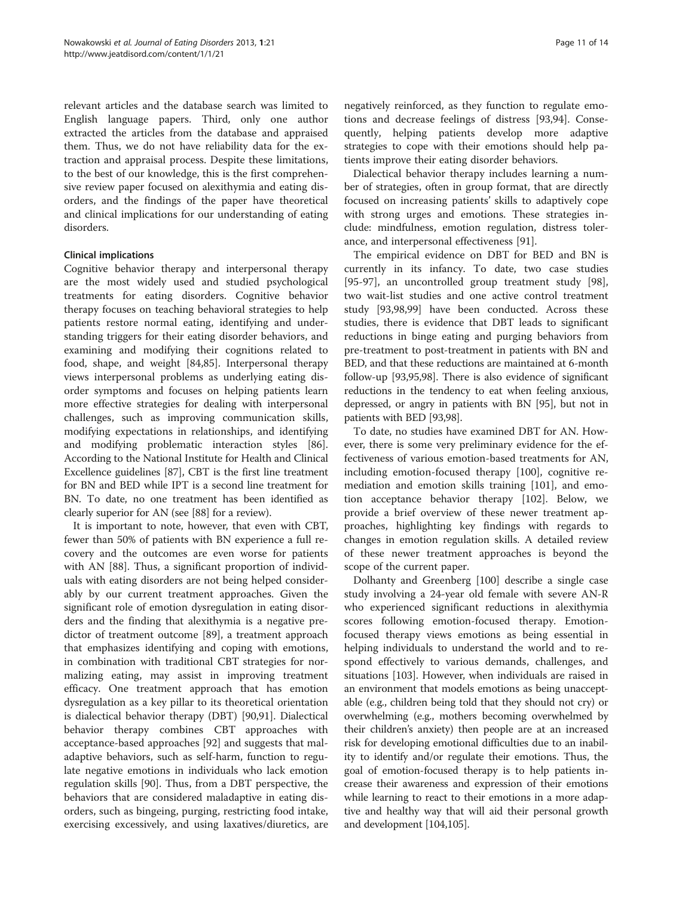relevant articles and the database search was limited to English language papers. Third, only one author extracted the articles from the database and appraised them. Thus, we do not have reliability data for the extraction and appraisal process. Despite these limitations, to the best of our knowledge, this is the first comprehensive review paper focused on alexithymia and eating disorders, and the findings of the paper have theoretical and clinical implications for our understanding of eating disorders.

#### Clinical implications

Cognitive behavior therapy and interpersonal therapy are the most widely used and studied psychological treatments for eating disorders. Cognitive behavior therapy focuses on teaching behavioral strategies to help patients restore normal eating, identifying and understanding triggers for their eating disorder behaviors, and examining and modifying their cognitions related to food, shape, and weight [\[84,85\]](#page-13-0). Interpersonal therapy views interpersonal problems as underlying eating disorder symptoms and focuses on helping patients learn more effective strategies for dealing with interpersonal challenges, such as improving communication skills, modifying expectations in relationships, and identifying and modifying problematic interaction styles [\[86](#page-13-0)]. According to the National Institute for Health and Clinical Excellence guidelines [\[87](#page-13-0)], CBT is the first line treatment for BN and BED while IPT is a second line treatment for BN. To date, no one treatment has been identified as clearly superior for AN (see [[88](#page-13-0)] for a review).

It is important to note, however, that even with CBT, fewer than 50% of patients with BN experience a full recovery and the outcomes are even worse for patients with AN [[88](#page-13-0)]. Thus, a significant proportion of individuals with eating disorders are not being helped considerably by our current treatment approaches. Given the significant role of emotion dysregulation in eating disorders and the finding that alexithymia is a negative predictor of treatment outcome [\[89](#page-13-0)], a treatment approach that emphasizes identifying and coping with emotions, in combination with traditional CBT strategies for normalizing eating, may assist in improving treatment efficacy. One treatment approach that has emotion dysregulation as a key pillar to its theoretical orientation is dialectical behavior therapy (DBT) [\[90,91\]](#page-13-0). Dialectical behavior therapy combines CBT approaches with acceptance-based approaches [[92](#page-13-0)] and suggests that maladaptive behaviors, such as self-harm, function to regulate negative emotions in individuals who lack emotion regulation skills [[90\]](#page-13-0). Thus, from a DBT perspective, the behaviors that are considered maladaptive in eating disorders, such as bingeing, purging, restricting food intake, exercising excessively, and using laxatives/diuretics, are negatively reinforced, as they function to regulate emotions and decrease feelings of distress [\[93,94](#page-13-0)]. Consequently, helping patients develop more adaptive strategies to cope with their emotions should help patients improve their eating disorder behaviors.

Dialectical behavior therapy includes learning a number of strategies, often in group format, that are directly focused on increasing patients' skills to adaptively cope with strong urges and emotions. These strategies include: mindfulness, emotion regulation, distress tolerance, and interpersonal effectiveness [\[91](#page-13-0)].

The empirical evidence on DBT for BED and BN is currently in its infancy. To date, two case studies [[95-97](#page-13-0)], an uncontrolled group treatment study [\[98](#page-13-0)], two wait-list studies and one active control treatment study [[93,98,99](#page-13-0)] have been conducted. Across these studies, there is evidence that DBT leads to significant reductions in binge eating and purging behaviors from pre-treatment to post-treatment in patients with BN and BED, and that these reductions are maintained at 6-month follow-up [[93,95,98\]](#page-13-0). There is also evidence of significant reductions in the tendency to eat when feeling anxious, depressed, or angry in patients with BN [\[95](#page-13-0)], but not in patients with BED [[93](#page-13-0),[98](#page-13-0)].

To date, no studies have examined DBT for AN. However, there is some very preliminary evidence for the effectiveness of various emotion-based treatments for AN, including emotion-focused therapy [\[100\]](#page-13-0), cognitive remediation and emotion skills training [[101\]](#page-13-0), and emotion acceptance behavior therapy [\[102\]](#page-13-0). Below, we provide a brief overview of these newer treatment approaches, highlighting key findings with regards to changes in emotion regulation skills. A detailed review of these newer treatment approaches is beyond the scope of the current paper.

Dolhanty and Greenberg [[100](#page-13-0)] describe a single case study involving a 24-year old female with severe AN-R who experienced significant reductions in alexithymia scores following emotion-focused therapy. Emotionfocused therapy views emotions as being essential in helping individuals to understand the world and to respond effectively to various demands, challenges, and situations [\[103](#page-13-0)]. However, when individuals are raised in an environment that models emotions as being unacceptable (e.g., children being told that they should not cry) or overwhelming (e.g., mothers becoming overwhelmed by their children's anxiety) then people are at an increased risk for developing emotional difficulties due to an inability to identify and/or regulate their emotions. Thus, the goal of emotion-focused therapy is to help patients increase their awareness and expression of their emotions while learning to react to their emotions in a more adaptive and healthy way that will aid their personal growth and development [[104,105\]](#page-13-0).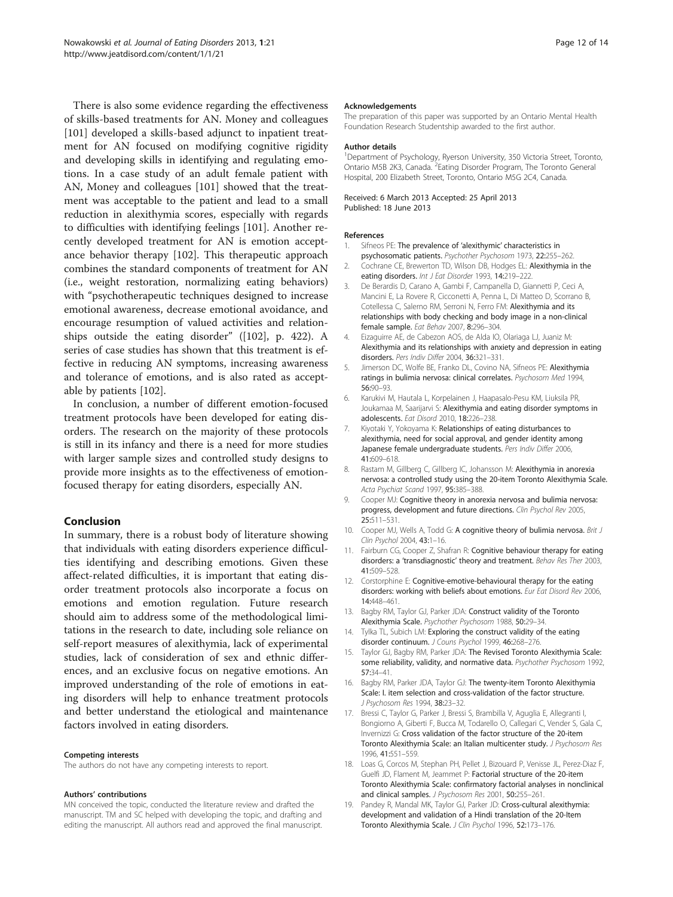<span id="page-11-0"></span>There is also some evidence regarding the effectiveness of skills-based treatments for AN. Money and colleagues [[101\]](#page-13-0) developed a skills-based adjunct to inpatient treatment for AN focused on modifying cognitive rigidity and developing skills in identifying and regulating emotions. In a case study of an adult female patient with AN, Money and colleagues [\[101\]](#page-13-0) showed that the treatment was acceptable to the patient and lead to a small reduction in alexithymia scores, especially with regards to difficulties with identifying feelings [\[101](#page-13-0)]. Another recently developed treatment for AN is emotion acceptance behavior therapy [\[102](#page-13-0)]. This therapeutic approach combines the standard components of treatment for AN (i.e., weight restoration, normalizing eating behaviors) with "psychotherapeutic techniques designed to increase emotional awareness, decrease emotional avoidance, and encourage resumption of valued activities and relationships outside the eating disorder" ([\[102\]](#page-13-0), p. 422). A series of case studies has shown that this treatment is effective in reducing AN symptoms, increasing awareness and tolerance of emotions, and is also rated as acceptable by patients [[102\]](#page-13-0).

In conclusion, a number of different emotion-focused treatment protocols have been developed for eating disorders. The research on the majority of these protocols is still in its infancy and there is a need for more studies with larger sample sizes and controlled study designs to provide more insights as to the effectiveness of emotionfocused therapy for eating disorders, especially AN.

#### Conclusion

In summary, there is a robust body of literature showing that individuals with eating disorders experience difficulties identifying and describing emotions. Given these affect-related difficulties, it is important that eating disorder treatment protocols also incorporate a focus on emotions and emotion regulation. Future research should aim to address some of the methodological limitations in the research to date, including sole reliance on self-report measures of alexithymia, lack of experimental studies, lack of consideration of sex and ethnic differences, and an exclusive focus on negative emotions. An improved understanding of the role of emotions in eating disorders will help to enhance treatment protocols and better understand the etiological and maintenance factors involved in eating disorders.

#### Competing interests

The authors do not have any competing interests to report.

#### Authors' contributions

MN conceived the topic, conducted the literature review and drafted the manuscript. TM and SC helped with developing the topic, and drafting and editing the manuscript. All authors read and approved the final manuscript.

#### Acknowledgements

The preparation of this paper was supported by an Ontario Mental Health Foundation Research Studentship awarded to the first author.

#### Author details

<sup>1</sup>Department of Psychology, Ryerson University, 350 Victoria Street, Toronto Ontario M5B 2K3, Canada. <sup>2</sup> Eating Disorder Program, The Toronto General Hospital, 200 Elizabeth Street, Toronto, Ontario M5G 2C4, Canada.

Received: 6 March 2013 Accepted: 25 April 2013 Published: 18 June 2013

#### References

- 1. Sifneos PE: The prevalence of 'alexithymic' characteristics in psychosomatic patients. Psychother Psychosom 1973, 22:255–262.
- 2. Cochrane CE, Brewerton TD, Wilson DB, Hodges EL: Alexithymia in the eating disorders. Int J Fat Disorder 1993, 14:219-222.
- 3. De Berardis D, Carano A, Gambi F, Campanella D, Giannetti P, Ceci A, Mancini E, La Rovere R, Cicconetti A, Penna L, Di Matteo D, Scorrano B, Cotellessa C, Salerno RM, Serroni N, Ferro FM: Alexithymia and its relationships with body checking and body image in a non-clinical female sample. Eat Behav 2007, 8:296–304.
- 4. Eizaguirre AE, de Cabezon AOS, de Alda IO, Olariaga LJ, Juaniz M: Alexithymia and its relationships with anxiety and depression in eating disorders. Pers Indiv Differ 2004, 36:321–331.
- 5. Jimerson DC, Wolfe BE, Franko DL, Covino NA, Sifneos PE: Alexithymia ratings in bulimia nervosa: clinical correlates. Psychosom Med 1994, 56:90–93.
- 6. Karukivi M, Hautala L, Korpelainen J, Haapasalo-Pesu KM, Liuksila PR, Joukamaa M, Saarijarvi S: Alexithymia and eating disorder symptoms in adolescents. Eat Disord 2010, 18:226–238.
- 7. Kiyotaki Y, Yokoyama K: Relationships of eating disturbances to alexithymia, need for social approval, and gender identity among Japanese female undergraduate students. Pers Indiv Differ 2006, 41:609–618.
- 8. Rastam M, Gillberg C, Gillberg IC, Johansson M: Alexithymia in anorexia nervosa: a controlled study using the 20-item Toronto Alexithymia Scale. Acta Psychiat Scand 1997, 95:385–388.
- 9. Cooper MJ: Cognitive theory in anorexia nervosa and bulimia nervosa: progress, development and future directions. Clin Psychol Rev 2005, 25:511–531.
- 10. Cooper MJ, Wells A, Todd G: A cognitive theory of bulimia nervosa. Brit J Clin Psychol 2004, 43:1–16.
- 11. Fairburn CG, Cooper Z, Shafran R: Cognitive behaviour therapy for eating disorders: a 'transdiagnostic' theory and treatment. Behav Res Ther 2003, 41:509–528.
- 12. Corstorphine E: Cognitive-emotive-behavioural therapy for the eating disorders: working with beliefs about emotions. Eur Eat Disord Rev 2006, 14:448–461.
- 13. Bagby RM, Taylor GJ, Parker JDA: Construct validity of the Toronto Alexithymia Scale. Psychother Psychosom 1988, 50:29–34.
- 14. Tylka TL, Subich LM: Exploring the construct validity of the eating disorder continuum. J Couns Psychol 1999, 46:268-276.
- 15. Taylor GJ, Bagby RM, Parker JDA: The Revised Toronto Alexithymia Scale: some reliability, validity, and normative data. Psychother Psychosom 1992, 57:34–41.
- 16. Bagby RM, Parker JDA, Taylor GJ: The twenty-item Toronto Alexithymia Scale: I. item selection and cross-validation of the factor structure. J Psychosom Res 1994, 38:23–32.
- 17. Bressi C, Taylor G, Parker J, Bressi S, Brambilla V, Aguglia E, Allegranti I, Bongiorno A, Giberti F, Bucca M, Todarello O, Callegari C, Vender S, Gala C, Invernizzi G: Cross validation of the factor structure of the 20-item Toronto Alexithymia Scale: an Italian multicenter study. J Psychosom Res 1996, 41:551–559.
- 18. Loas G, Corcos M, Stephan PH, Pellet J, Bizouard P, Venisse JL, Perez-Diaz F, Guelfi JD, Flament M, Jeammet P: Factorial structure of the 20-item Toronto Alexithymia Scale: confirmatory factorial analyses in nonclinical and clinical samples. J Psychosom Res 2001, 50:255-261.
- 19. Pandey R, Mandal MK, Taylor GJ, Parker JD: Cross-cultural alexithymia: development and validation of a Hindi translation of the 20-Item Toronto Alexithymia Scale. J Clin Psychol 1996, 52:173–176.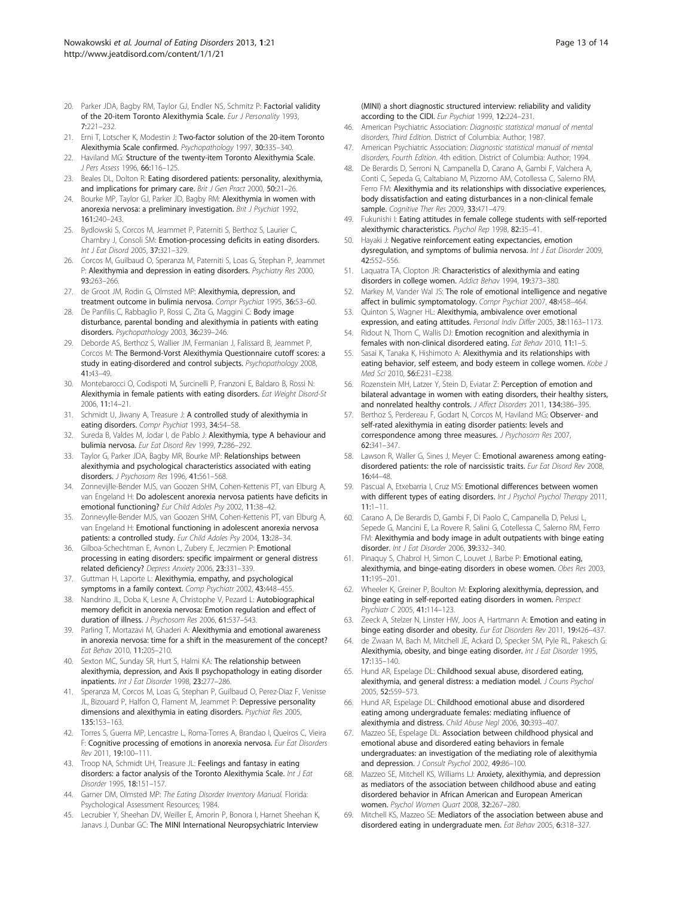- <span id="page-12-0"></span>20. Parker JDA, Bagby RM, Taylor GJ, Endler NS, Schmitz P: Factorial validity of the 20-item Toronto Alexithymia Scale. Eur J Personality 1993,  $7:221-232$
- 21. Erni T, Lotscher K, Modestin J: Two-factor solution of the 20-item Toronto Alexithymia Scale confirmed. Psychopathology 1997, 30:335–340.
- 22. Haviland MG: Structure of the twenty-item Toronto Alexithymia Scale. J Pers Assess 1996, 66:116–125.
- 23. Beales DL, Dolton R: Eating disordered patients: personality, alexithymia, and implications for primary care. Brit J Gen Pract 2000, 50:21-26.
- 24. Bourke MP, Taylor GJ, Parker JD, Bagby RM: Alexithymia in women with anorexia nervosa: a preliminary investigation. Brit J Psychiat 1992, 161:240–243.
- 25. Bydlowski S, Corcos M, Jeammet P, Paterniti S, Berthoz S, Laurier C, Chambry J, Consoli SM: Emotion-processing deficits in eating disorders. Int J Eat Disord 2005, 37:321–329.
- 26. Corcos M, Guilbaud O, Speranza M, Paterniti S, Loas G, Stephan P, Jeammet P: Alexithymia and depression in eating disorders. Psychiatry Res 2000, 93:263–266.
- 27. de Groot JM, Rodin G, Olmsted MP: Alexithymia, depression, and treatment outcome in bulimia nervosa. Compr Psychiat 1995, 36:53-60.
- 28. De Panfilis C, Rabbaglio P, Rossi C, Zita G, Maggini C: Body image disturbance, parental bonding and alexithymia in patients with eating disorders. Psychopathology 2003, 36:239-246.
- 29. Deborde AS, Berthoz S, Wallier JM, Fermanian J, Falissard B, Jeammet P, Corcos M: The Bermond-Vorst Alexithymia Questionnaire cutoff scores: a study in eating-disordered and control subjects. Psychopathology 2008, 41:43–49.
- 30. Montebarocci O, Codispoti M, Surcinelli P, Franzoni E, Baldaro B, Rossi N: Alexithymia in female patients with eating disorders. Eat Weight Disord-St 2006, 11:14–21.
- 31. Schmidt U, Jiwany A, Treasure J: A controlled study of alexithymia in eating disorders. Compr Psychiat 1993, 34:54–58.
- 32. Sureda B, Valdes M, Jodar I, de Pablo J: Alexithymia, type A behaviour and bulimia nervosa. Eur Eat Disord Rev 1999, 7:286–292.
- 33. Taylor G, Parker JDA, Bagby MR, Bourke MP: Relationships between alexithymia and psychological characteristics associated with eating disorders. J Psychosom Res 1996, 41:561-568.
- 34. Zonnevijlle-Bender MJS, van Goozen SHM, Cohen-Kettenis PT, van Elburg A, van Engeland H: Do adolescent anorexia nervosa patients have deficits in emotional functioning? Eur Child Adoles Psy 2002, 11:38–42.
- 35. Zonnevylle-Bender MJS, van Goozen SHM, Cohen-Kettenis PT, van Elburg A, van Engeland H: Emotional functioning in adolescent anorexia nervosa patients: a controlled study. Eur Child Adoles Psy 2004, 13:28-34.
- 36. Gilboa-Schechtman E, Avnon L, Zubery E, Jeczmien P: Emotional processing in eating disorders: specific impairment or general distress related deficiency? Depress Anxiety 2006, 23:331–339.
- 37. Guttman H, Laporte L: Alexithymia, empathy, and psychological symptoms in a family context. Comp Psychiatr 2002, 43:448-455.
- 38. Nandrino JL, Doba K, Lesne A, Christophe V, Pezard L: Autobiographical memory deficit in anorexia nervosa: Emotion regulation and effect of duration of illness. J Psychosom Res 2006, 61:537-543.
- 39. Parling T, Mortazavi M, Ghaderi A: Alexithymia and emotional awareness in anorexia nervosa: time for a shift in the measurement of the concept? Eat Behav 2010, 11:205–210.
- 40. Sexton MC, Sunday SR, Hurt S, Halmi KA: The relationship between alexithymia, depression, and Axis II psychopathology in eating disorder inpatients. Int J Eat Disorder 1998, 23:277–286.
- 41. Speranza M, Corcos M, Loas G, Stephan P, Guilbaud O, Perez-Diaz F, Venisse JL, Bizouard P, Halfon O, Flament M, Jeammet P: Depressive personality dimensions and alexithymia in eating disorders. Psychiat Res 2005, 135:153–163.
- 42. Torres S, Guerra MP, Lencastre L, Roma-Torres A, Brandao I, Queiros C, Vieira F: Cognitive processing of emotions in anorexia nervosa. Eur Eat Disorders Rev 2011, 19:100–111.
- 43. Troop NA, Schmidt UH, Treasure JL: Feelings and fantasy in eating disorders: a factor analysis of the Toronto Alexithymia Scale. Int J Eat Disorder 1995, 18:151–157.
- 44. Garner DM, Olmsted MP: The Eating Disorder Inventory Manual. Florida: Psychological Assessment Resources; 1984.
- 45. Lecrubier Y, Sheehan DV, Weiller E, Amorin P, Bonora I, Harnet Sheehan K, Janavs J, Dunbar GC: The MINI International Neuropsychiatric Interview

(MINI) a short diagnostic structured interview: reliability and validity according to the CIDI. Eur Psychiat 1999, 12:224–231.

- 46. American Psychiatric Association: Diagnostic statistical manual of mental disorders, Third Edition. District of Columbia: Author; 1987.
- 47. American Psychiatric Association: Diagnostic statistical manual of mental disorders, Fourth Edition. 4th edition. District of Columbia: Author; 1994.
- 48. De Berardis D, Serroni N, Campanella D, Carano A, Gambi F, Valchera A, Conti C, Sepeda G, Caltabiano M, Pizzorno AM, Cotollessa C, Salerno RM, Ferro FM: Alexithymia and its relationships with dissociative experiences, body dissatisfaction and eating disturbances in a non-clinical female sample. Cognitive Ther Res 2009, 33:471-479.
- 49. Fukunishi I: Eating attitudes in female college students with self-reported alexithymic characteristics. Psychol Rep 1998, 82:35–41.
- 50. Hayaki J: Negative reinforcement eating expectancies, emotion dysregulation, and symptoms of bulimia nervosa. Int J Eat Disorder 2009, 42:552–556.
- 51. Laquatra TA, Clopton JR: Characteristics of alexithymia and eating disorders in college women. Addict Behav 1994, 19:373–380.
- Markey M, Vander Wal JS: The role of emotional intelligence and negative affect in bulimic symptomatology. Compr Psychiat 2007, 48:458–464.
- 53. Quinton S, Wagner HL: Alexithymia, ambivalence over emotional expression, and eating attitudes. Personal Indiv Differ 2005, 38:1163–1173.
- 54. Ridout N, Thom C, Wallis DJ: Emotion recognition and alexithymia in females with non-clinical disordered eating. Eat Behav 2010, 11:1–5.
- 55. Sasai K, Tanaka K, Hishimoto A: Alexithymia and its relationships with eating behavior, self esteem, and body esteem in college women. Kobe J Med Sci 2010, 56:E231–E238.
- 56. Rozenstein MH, Latzer Y, Stein D, Eviatar Z: Perception of emotion and bilateral advantage in women with eating disorders, their healthy sisters, and nonrelated healthy controls. *J Affect Disorders* 2011, 134:386-395.
- 57. Berthoz S, Perdereau F, Godart N, Corcos M, Haviland MG: Observer- and self-rated alexithymia in eating disorder patients: levels and correspondence among three measures. J Psychosom Res 2007, 62:341–347.
- 58. Lawson R, Waller G, Sines J, Meyer C: Emotional awareness among eatingdisordered patients: the role of narcissistic traits. Eur Eat Disord Rev 2008, 16:44–48.
- 59. Pascual A, Etxebarria I, Cruz MS: Emotional differences between women with different types of eating disorders. Int J Psychol Psychol Therapy 2011, 11:1–11.
- 60. Carano A, De Berardis D, Gambi F, Di Paolo C, Campanella D, Pelusi L, Sepede G, Mancini E, La Rovere R, Salini G, Cotellessa C, Salerno RM, Ferro FM: Alexithymia and body image in adult outpatients with binge eating disorder. Int J Eat Disorder 2006, 39:332-340.
- Pinaquy S, Chabrol H, Simon C, Louvet J, Barbe P: Emotional eating, alexithymia, and binge-eating disorders in obese women. Obes Res 2003, 11:195–201.
- 62. Wheeler K, Greiner P, Boulton M: Exploring alexithymia, depression, and binge eating in self-reported eating disorders in women. Perspect Psychiatr C 2005, 41:114–123.
- 63. Zeeck A, Stelzer N, Linster HW, Joos A, Hartmann A: Emotion and eating in binge eating disorder and obesity. Eur Eat Disorders Rev 2011, 19:426-437.
- 64. de Zwaan M, Bach M, Mitchell JE, Ackard D, Specker SM, Pyle RL, Pakesch G: Alexithymia, obesity, and binge eating disorder. Int J Eat Disorder 1995, 17:135–140.
- 65. Hund AR, Espelage DL: Childhood sexual abuse, disordered eating, alexithymia, and general distress: a mediation model. J Couns Psychol 2005, 52:559–573.
- 66. Hund AR, Espelage DL: Childhood emotional abuse and disordered eating among undergraduate females: mediating influence of alexithymia and distress. Child Abuse Negl 2006, 30:393-407.
- 67. Mazzeo SE, Espelage DL: Association between childhood physical and emotional abuse and disordered eating behaviors in female undergraduates: an investigation of the mediating role of alexithymia and depression. J Consult Psychol 2002, 49:86-100.
- 68. Mazzeo SE, Mitchell KS, Williams LJ: Anxiety, alexithymia, and depression as mediators of the association between childhood abuse and eating disordered behavior in African American and European American women. Psychol Women Quart 2008, 32:267–280.
- 69. Mitchell KS, Mazzeo SE: Mediators of the association between abuse and disordered eating in undergraduate men. Eat Behav 2005, 6:318–327.